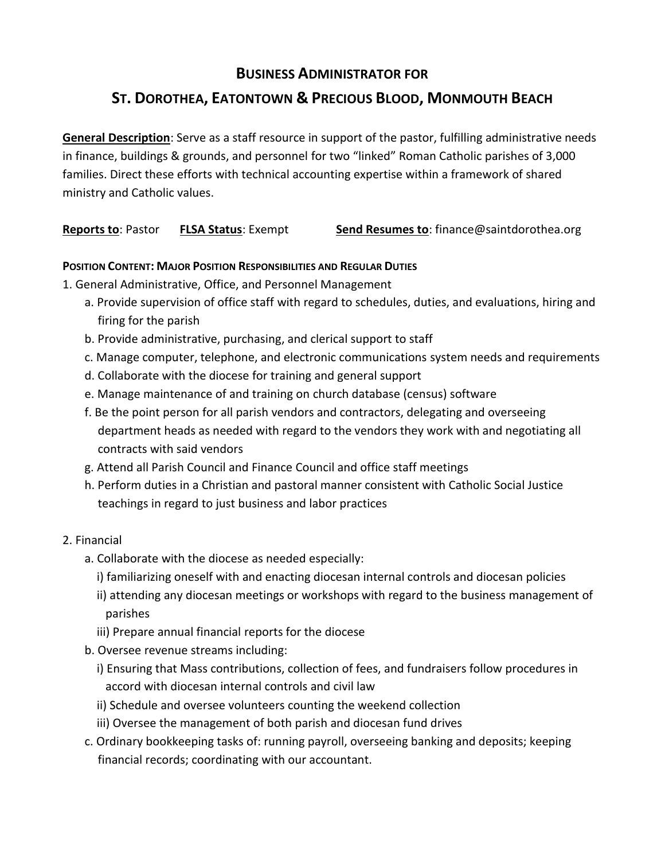## **BUSINESS ADMINISTRATOR FOR**

# **ST. DOROTHEA, EATONTOWN & PRECIOUS BLOOD, MONMOUTH BEACH**

**General Description**: Serve as a staff resource in support of the pastor, fulfilling administrative needs in finance, buildings & grounds, and personnel for two "linked" Roman Catholic parishes of 3,000 families. Direct these efforts with technical accounting expertise within a framework of shared ministry and Catholic values.

**Reports to**: Pastor **FLSA Status**: Exempt **Send Resumes to**: finance@saintdorothea.org

#### **POSITION CONTENT: MAJOR POSITION RESPONSIBILITIES AND REGULAR DUTIES**

1. General Administrative, Office, and Personnel Management

- a. Provide supervision of office staff with regard to schedules, duties, and evaluations, hiring and firing for the parish
- b. Provide administrative, purchasing, and clerical support to staff
- c. Manage computer, telephone, and electronic communications system needs and requirements
- d. Collaborate with the diocese for training and general support
- e. Manage maintenance of and training on church database (census) software
- f. Be the point person for all parish vendors and contractors, delegating and overseeing department heads as needed with regard to the vendors they work with and negotiating all contracts with said vendors
- g. Attend all Parish Council and Finance Council and office staff meetings
- h. Perform duties in a Christian and pastoral manner consistent with Catholic Social Justice teachings in regard to just business and labor practices

#### 2. Financial

- a. Collaborate with the diocese as needed especially:
	- i) familiarizing oneself with and enacting diocesan internal controls and diocesan policies
	- ii) attending any diocesan meetings or workshops with regard to the business management of parishes
	- iii) Prepare annual financial reports for the diocese
- b. Oversee revenue streams including:
	- i) Ensuring that Mass contributions, collection of fees, and fundraisers follow procedures in accord with diocesan internal controls and civil law
	- ii) Schedule and oversee volunteers counting the weekend collection
	- iii) Oversee the management of both parish and diocesan fund drives
- c. Ordinary bookkeeping tasks of: running payroll, overseeing banking and deposits; keeping financial records; coordinating with our accountant.